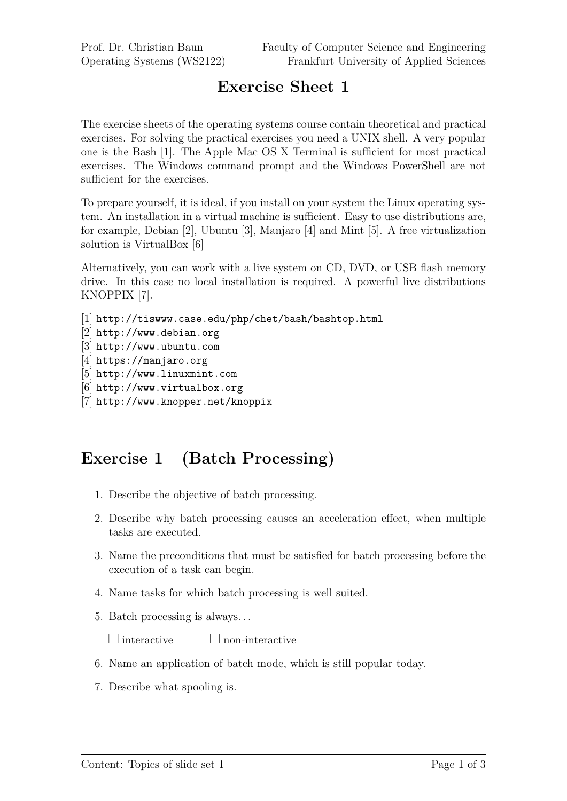## **Exercise Sheet 1**

The exercise sheets of the operating systems course contain theoretical and practical exercises. For solving the practical exercises you need a UNIX shell. A very popular one is the Bash [1]. The Apple Mac OS X Terminal is sufficient for most practical exercises. The Windows command prompt and the Windows PowerShell are not sufficient for the exercises.

To prepare yourself, it is ideal, if you install on your system the Linux operating system. An installation in a virtual machine is sufficient. Easy to use distributions are, for example, Debian [2], Ubuntu [3], Manjaro [4] and Mint [5]. A free virtualization solution is VirtualBox [6]

Alternatively, you can work with a live system on CD, DVD, or USB flash memory drive. In this case no local installation is required. A powerful live distributions KNOPPIX [7].

```
[1] http://tiswww.case.edu/php/chet/bash/bashtop.html
```

```
[2] http://www.debian.org
```
- [3] http://www.ubuntu.com
- [4] https://manjaro.org
- [5] http://www.linuxmint.com
- [6] http://www.virtualbox.org
- [7] http://www.knopper.net/knoppix

## **Exercise 1 (Batch Processing)**

- 1. Describe the objective of batch processing.
- 2. Describe why batch processing causes an acceleration effect, when multiple tasks are executed.
- 3. Name the preconditions that must be satisfied for batch processing before the execution of a task can begin.
- 4. Name tasks for which batch processing is well suited.
- 5. Batch processing is always. . .

 $\Box$  interactive  $\Box$  non-interactive

- 6. Name an application of batch mode, which is still popular today.
- 7. Describe what spooling is.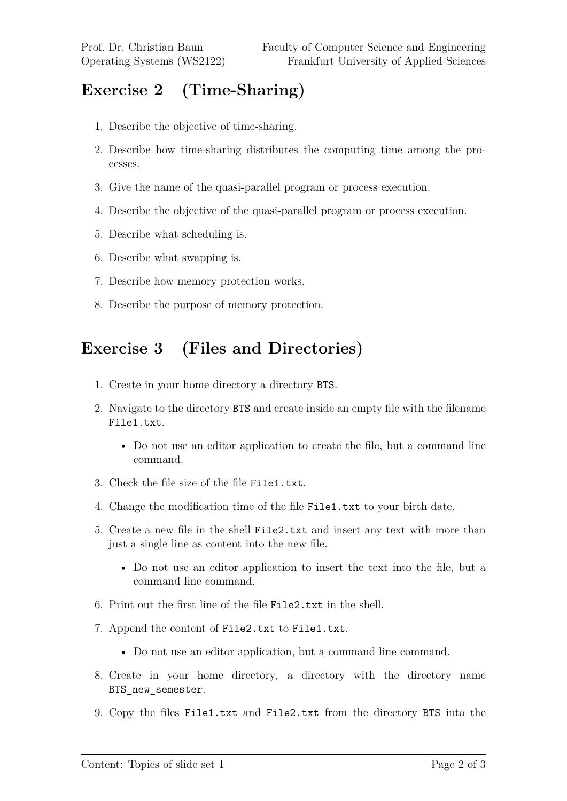## **Exercise 2 (Time-Sharing)**

- 1. Describe the objective of time-sharing.
- 2. Describe how time-sharing distributes the computing time among the processes.
- 3. Give the name of the quasi-parallel program or process execution.
- 4. Describe the objective of the quasi-parallel program or process execution.
- 5. Describe what scheduling is.
- 6. Describe what swapping is.
- 7. Describe how memory protection works.
- 8. Describe the purpose of memory protection.

## **Exercise 3 (Files and Directories)**

- 1. Create in your home directory a directory BTS.
- 2. Navigate to the directory BTS and create inside an empty file with the filename File1.txt.
	- Do not use an editor application to create the file, but a command line command.
- 3. Check the file size of the file File1.txt.
- 4. Change the modification time of the file File1.txt to your birth date.
- 5. Create a new file in the shell File2.txt and insert any text with more than just a single line as content into the new file.
	- Do not use an editor application to insert the text into the file, but a command line command.
- 6. Print out the first line of the file File2.txt in the shell.
- 7. Append the content of File2.txt to File1.txt.
	- Do not use an editor application, but a command line command.
- 8. Create in your home directory, a directory with the directory name BTS\_new\_semester.
- 9. Copy the files File1.txt and File2.txt from the directory BTS into the